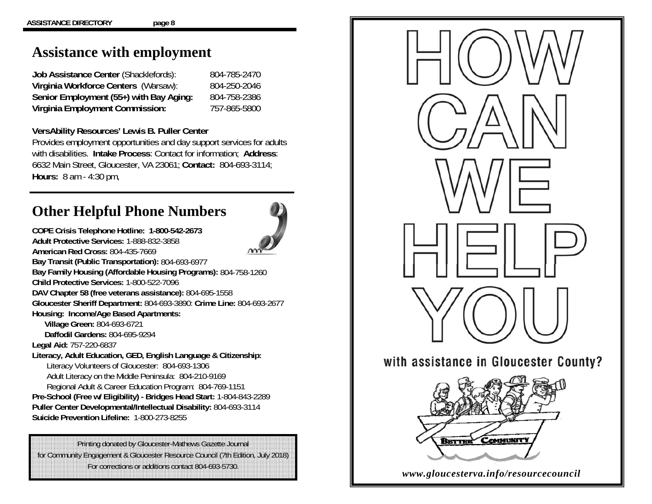## **Assistance with employment**

**Job Assistance Center** (Shacklefords): 804-785-2470 **Virginia Workforce Centers** (Warsaw): 804-250-2046 **Senior Employment (55+) with Bay Aging:** 804-758-2386 **Virginia Employment Commission:** 757-865-5800

### **VersAbility Resources' Lewis B. Puller Center**

Provides employment opportunities and day support services for adults with disabilities. **Intake Process**: Contact for information; **Address**: 6632 Main Street, Gloucester, VA 23061; **Contact:** 804-693-3114; **Hours:** 8 am - 4:30 pm,

# **Other Helpful Phone Numbers**

**COPE Crisis Telephone Hotline: 1-800-542-2673** 



**Adult Protective Services:** 1-888-832-3858 **American Red Cross:** 804-435-7669 **Bay Transit (Public Transportation):** 804-693-6977 **Bay Family Housing (Affordable Housing Programs):** 804-758-1260 **Child Protective Services:** 1-800-522-7096**DAV Chapter 58 (free veterans assistance):** 804-695-1558 **Gloucester Sheriff Department:** 804-693-3890: **Crime Line:** 804-693-2677 **Housing: Income/Age Based Apartments: Village Green:** 804-693-6721  **Daffodil Gardens:** 804-695-9294**Legal Aid:** 757-220-6837 **Literacy, Adult Education, GED, English Language & Citizenship:**  Literacy Volunteers of Gloucester: 804-693-1306 Adult Literacy on the Middle Peninsula: 804-210-9169 Regional Adult & Career Education Program: 804-769-1151 **Pre-School (Free w/ Eligibility) - Bridges Head Start:** 1-804-843-2289 **Puller Center Developmental/Intellectual Disability:** 804-693-3114 **Suicide Prevention Lifeline:** 1-800-273-8255

Printing donated by Gloucester-Mathews Gazette Journal for Community Engagement & Gloucester Resource Council (7th Edition, July 2018) For corrections or additions contact 804-693-5730.

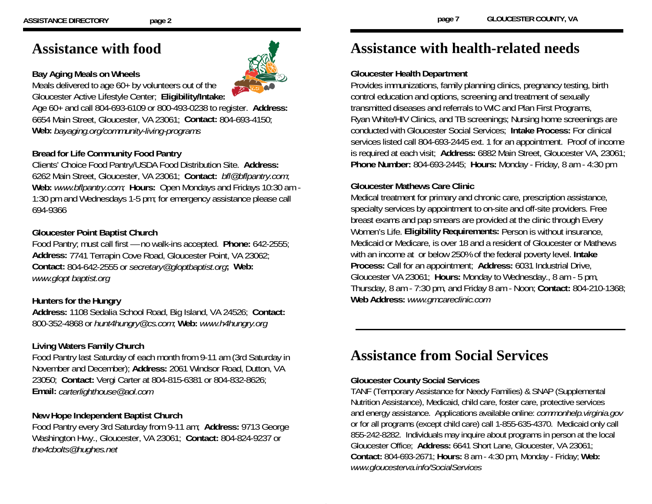## **Assistance with food**

## **Bay Aging Meals on Wheels**

Meals delivered to age 60+ by volunteers out of the Gloucester Active Lifestyle Center; **Eligibility/Intake:** 

Age 60+ and call 804-693-6109 or 800-493-0238 to register. **Address:**  6654 Main Street, Gloucester, VA 23061; **Contact:** 804-693-4150; **Web:** *bayaging.org/community-living-programs* 

## **Bread for Life Community Food Pantry**

Clients' Choice Food Pantry/USDA Food Distribution Site. **Address:** 6262 Main Street, Gloucester, VA 23061; **Contact:** *bfl@bflpantry.com*; **Web:** *www.bflpantry.com;* **Hours:** Open Mondays and Fridays 10:30 am - 1:30 pm and Wednesdays 1-5 pm; for emergency assistance please call 694-9366

## **Gloucester Point Baptist Church**

Food Pantry; must call first — no walk-ins accepted. **Phone:** 642-2555; **Address:** 7741 Terrapin Cove Road, Gloucester Point, VA 23062; **Contact:** 804-642-2555 or *secretary@gloptbaptist.org***; Web:** *www.glopt baptist.org*

### **Hunters for the Hungry**

**Address:** 1108 Sedalia School Road, Big Island, VA 24526; **Contact:** 800-352-4868 or *hunt4hungry@cs.com*; **Web:** *www.h4hungry.org*

## **Living Waters Family Church**

Food Pantry last Saturday of each month from 9-11 am (3rd Saturday in November and December); **Address:** 2061 Windsor Road, Dutton, VA 23050; **Contact:** Vergi Carter at 804-815-6381 or 804-832-8626; **Email:** *carterlighthouse@aol.com* 

### **New Hope Independent Baptist Church**

Food Pantry every 3rd Saturday from 9-11 am; **Address:** 9713 George Washington Hwy., Gloucester, VA 23061; **Contact:** 804-824-9237 or *the4cbolts@hughes.net*

## **Assistance with health-related needs**

### **Gloucester Health Department**

Provides immunizations, family planning clinics, pregnancy testing, birth control education and options, screening and treatment of sexually transmitted diseases and referrals to WIC and Plan First Programs, Ryan White/HIV Clinics, and TB screenings; Nursing home screenings are conducted with Gloucester Social Services; **Intake Process:** For clinical services listed call 804-693-2445 ext. 1 for an appointment. Proof of income is required at each visit; **Address:** 6882 Main Street, Gloucester VA, 23061; **Phone Number:** 804-693-2445; **Hours:** Monday - Friday, 8 am - 4:30 pm

## **Gloucester Mathews Care Clinic**

Medical treatment for primary and chronic care, prescription assistance, specialty services by appointment to on-site and off-site providers. Free breast exams and pap smears are provided at the clinic through Every Women's Life. **Eligibility Requirements:** Person is without insurance, Medicaid or Medicare, is over 18 and a resident of Gloucester or Mathews with an income at or below 250% of the federal poverty level. **Intake Process:** Call for an appointment; **Address:** 6031 Industrial Drive, Gloucester VA 23061; **Hours:** Monday to Wednesday., 8 am - 5 pm, Thursday, 8 am - 7:30 pm, and Friday 8 am - Noon; **Contact:** 804-210-1368; **Web Address:** *www.gmcareclinic.com* 

## **Assistance from Social Services**

### **Gloucester County Social Services**

TANF (Temporary Assistance for Needy Families) & SNAP (Supplemental Nutrition Assistance), Medicaid, child care, foster care, protective services and energy assistance. Applications available online: *commonhelp.virginia.gov*  or for all programs (except child care) call 1-855-635-4370. Medicaid only call 855-242-8282. Individuals may inquire about programs in person at the local Gloucester Office; **Address:** 6641 Short Lane, Gloucester, VA 23061; **Contact:** 804-693-2671; **Hours:** 8 am - 4:30 pm, Monday - Friday; **Web:**  *www.gloucesterva.info/SocialServices*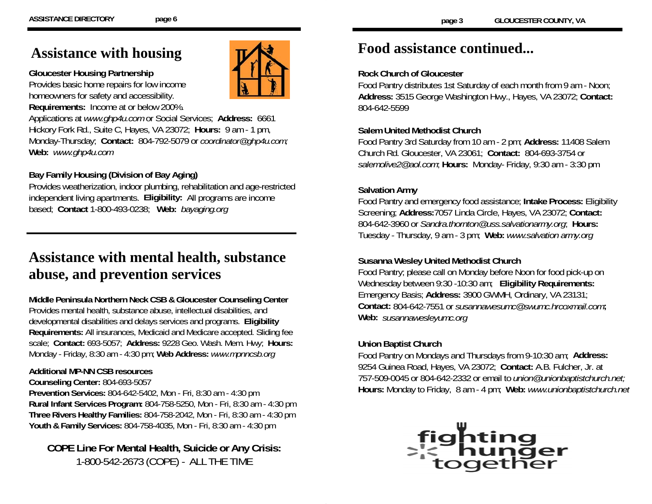## **Assistance with housing**

#### **Gloucester Housing Partnership**

Provides basic home repairs for low income homeowners for safety and accessibility. **Requirements:** Income at or below 200%.

Applications at *www.ghp4u.com* or Social Services; **Address:** 6661 Hickory Fork Rd., Suite C, Hayes, VA 23072; **Hours:** 9 am - 1 pm, Monday-Thursday; **Contact:** 804-792-5079 or *coordinator@ghp4u.com;*  **Web:** *www.ghp4u.com* 

## **Bay Family Housing (Division of Bay Aging)**

Provides weatherization, indoor plumbing, rehabilitation and age-restricted independent living apartments. **Eligibility:** All programs are income based; **Contact** 1-800-493-0238; **Web:** *bayaging.org* 

# **Assistance with mental health, substance abuse, and prevention services**

**Middle Peninsula Northern Neck CSB & Gloucester Counseling Center**  Provides mental health, substance abuse, intellectual disabilities, and developmental disabilities and delays services and programs. **Eligibility Requirements:** All insurances, Medicaid and Medicare accepted. Sliding fee scale; **Contact:** 693-5057; **Address:** 9228 Geo. Wash. Mem. Hwy; **Hours:**  Monday - Friday, 8:30 am - 4:30 pm; **Web Address:** *www.mpnncsb.org* 

## **Additional MP-NN CSB resources**

### **Counseling Center:** 804-693-5057

**Prevention Services:** 804-642-5402, Mon - Fri, 8:30 am - 4:30 pm **Rural Infant Services Program:** 804-758-5250, Mon - Fri, 8:30 am - 4:30 pm **Three Rivers Healthy Families:** 804-758-2042, Mon - Fri, 8:30 am - 4:30 pm **Youth & Family Services:** 804-758-4035, Mon - Fri, 8:30 am - 4:30 pm

## **COPE Line For Mental Health, Suicide or Any Crisis:**  1-800-542-2673 (COPE) - ALL THE TIME

# **Food assistance continued...**

### **Rock Church of Gloucester**

Food Pantry distributes 1st Saturday of each month from 9 am - Noon; **Address:** 3515 George Washington Hwy., Hayes, VA 23072; **Contact:** 804-642-5599

## **Salem United Methodist Church**

Food Pantry 3rd Saturday from 10 am - 2 pm; **Address:** 11408 Salem Church Rd. Gloucester, VA 23061; **Contact:** 804-693-3754 or *salemolive2@aol.com*; **Hours:** Monday- Friday, 9:30 am - 3:30 pm

## **Salvation Army**

Food Pantry and emergency food assistance; **Intake Process:** Eligibility Screening; **Address:**7057 Linda Circle, Hayes, VA 23072; **Contact:**  804-642-3960 or *Sandra.thornton@uss.salvationarmy.org*; **Hours:** Tuesday - Thursday, 9 am - 3 pm; **Web:** *www.salvation army.org*

## **Susanna Wesley United Methodist Church**

Food Pantry; please call on Monday before Noon for food pick-up on Wednesday between 9:30 -10:30 am; **Eligibility Requirements:** Emergency Basis; **Address:** 3900 GWMH, Ordinary, VA 23131; **Contact:** 804-642-7551 or *susannawesumc@swumc.hrcoxmail.com***; Web:** *susannawesleyumc.org* 

## **Union Baptist Church**

Food Pantry on Mondays and Thursdays from 9-10:30 am; **Address:** 9254 Guinea Road, Hayes, VA 23072; **Contact:** A.B. Fulcher, Jr. at 757-509-0045 or 804-642-2332 or email to *union@unionbaptistchurch.net;*  **Hours:** Monday to Friday, 8 am - 4 pm; **Web:** *www.unionbaptistchurch.net*